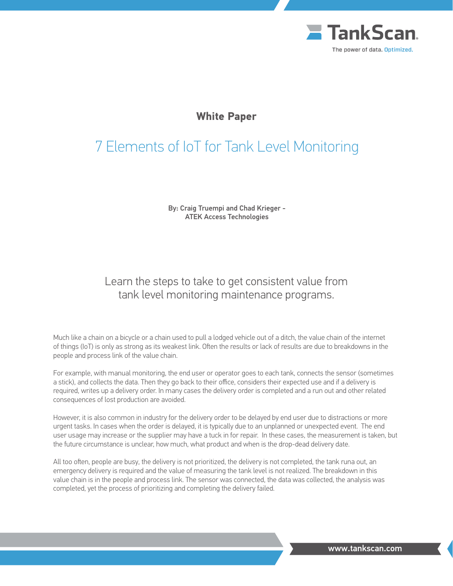

# **White Paper**

# 7 Elements of IoT for Tank Level Monitoring

By: Craig Truempi and Chad Krieger - ATEK Access Technologies

# Learn the steps to take to get consistent value from tank level monitoring maintenance programs.

Much like a chain on a bicycle or a chain used to pull a lodged vehicle out of a ditch, the value chain of the internet of things (IoT) is only as strong as its weakest link. Often the results or lack of results are due to breakdowns in the people and process link of the value chain.

For example, with manual monitoring, the end user or operator goes to each tank, connects the sensor (sometimes a stick), and collects the data. Then they go back to their office, considers their expected use and if a delivery is required, writes up a delivery order. In many cases the delivery order is completed and a run out and other related consequences of lost production are avoided.

However, it is also common in industry for the delivery order to be delayed by end user due to distractions or more urgent tasks. In cases when the order is delayed, it is typically due to an unplanned or unexpected event. The end user usage may increase or the supplier may have a tuck in for repair. In these cases, the measurement is taken, but the future circumstance is unclear, how much, what product and when is the drop-dead delivery date.

All too often, people are busy, the delivery is not prioritized, the delivery is not completed, the tank runa out, an emergency delivery is required and the value of measuring the tank level is not realized. The breakdown in this value chain is in the people and process link. The sensor was connected, the data was collected, the analysis was completed, yet the process of prioritizing and completing the delivery failed.

www.tankscan.com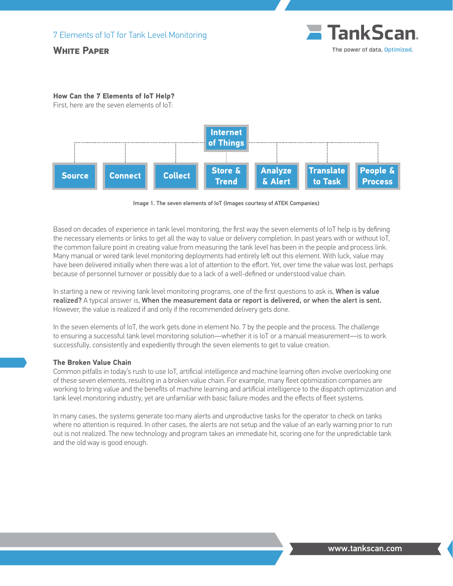## **White Paper**



#### **How Can the 7 Elements of IoT Help?**

First, here are the seven elements of IoT:



Image 1. The seven elements of IoT (Images courtesy of ATEK Companies)

Based on decades of experience in tank level monitoring, the first way the seven elements of IoT help is by defining the necessary elements or links to get all the way to value or delivery completion. In past years with or without IoT, the common failure point in creating value from measuring the tank level has been in the people and process link. Many manual or wired tank level monitoring deployments had entirely left out this element. With luck, value may have been delivered initially when there was a lot of attention to the effort. Yet, over time the value was lost, perhaps because of personnel turnover or possibly due to a lack of a well-defined or understood value chain.

In starting a new or reviving tank level monitoring programs, one of the first questions to ask is, When is value realized? A typical answer is, When the measurement data or report is delivered, or when the alert is sent. However, the value is realized if and only if the recommended delivery gets done.

In the seven elements of IoT, the work gets done in element No. 7 by the people and the process. The challenge to ensuring a successful tank level monitoring solution—whether it is IoT or a manual measurement—is to work successfully, consistently and expediently through the seven elements to get to value creation.

#### **The Broken Value Chain**

Common pitfalls in today's rush to use IoT, artificial intelligence and machine learning often involve overlooking one of these seven elements, resulting in a broken value chain. For example, many fleet optimization companies are working to bring value and the benefits of machine learning and artificial intelligence to the dispatch optimization and tank level monitoring industry, yet are unfamiliar with basic failure modes and the effects of fleet systems.

In many cases, the systems generate too many alerts and unproductive tasks for the operator to check on tanks where no attention is required. In other cases, the alerts are not setup and the value of an early warning prior to run out is not realized. The new technology and program takes an immediate hit, scoring one for the unpredictable tank and the old way is good enough.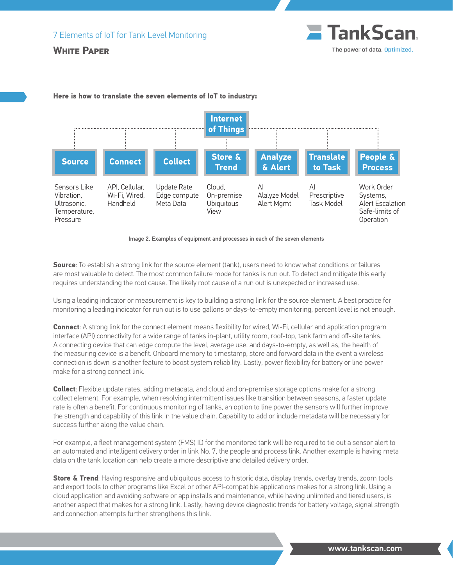#### **White Paper**





#### **Here is how to translate the seven elements of IoT to industry:**



**Source**: To establish a strong link for the source element (tank), users need to know what conditions or failures are most valuable to detect. The most common failure mode for tanks is run out. To detect and mitigate this early requires understanding the root cause. The likely root cause of a run out is unexpected or increased use.

Using a leading indicator or measurement is key to building a strong link for the source element. A best practice for monitoring a leading indicator for run out is to use gallons or days-to-empty monitoring, percent level is not enough.

**Connect**: A strong link for the connect element means flexibility for wired, Wi-Fi, cellular and application program interface (API) connectivity for a wide range of tanks in-plant, utility room, roof-top, tank farm and off-site tanks. A connecting device that can edge compute the level, average use, and days-to-empty, as well as, the health of the measuring device is a benefit. Onboard memory to timestamp, store and forward data in the event a wireless connection is down is another feature to boost system reliability. Lastly, power flexibility for battery or line power make for a strong connect link.

**Collect**: Flexible update rates, adding metadata, and cloud and on-premise storage options make for a strong collect element. For example, when resolving intermittent issues like transition between seasons, a faster update rate is often a benefit. For continuous monitoring of tanks, an option to line power the sensors will further improve the strength and capability of this link in the value chain. Capability to add or include metadata will be necessary for success further along the value chain.

For example, a fleet management system (FMS) ID for the monitored tank will be required to tie out a sensor alert to an automated and intelligent delivery order in link No. 7, the people and process link. Another example is having meta data on the tank location can help create a more descriptive and detailed delivery order.

**Store & Trend:** Having responsive and ubiquitous access to historic data, display trends, overlay trends, zoom tools and export tools to other programs like Excel or other API-compatible applications makes for a strong link. Using a cloud application and avoiding software or app installs and maintenance, while having unlimited and tiered users, is another aspect that makes for a strong link. Lastly, having device diagnostic trends for battery voltage, signal strength and connection attempts further strengthens this link.